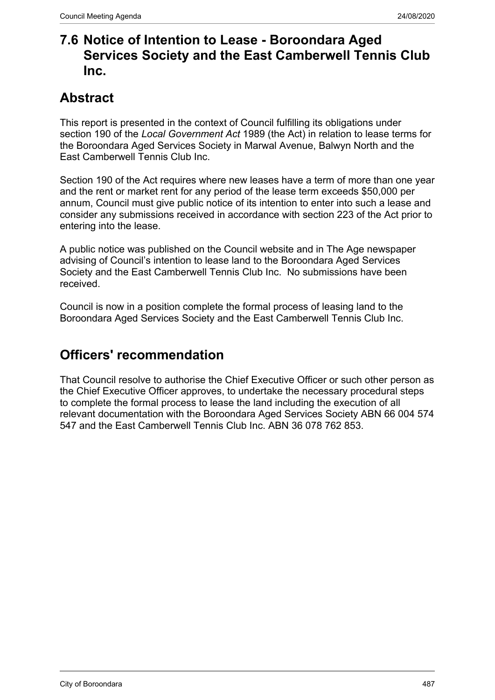## **7.6 Notice of Intention to Lease - Boroondara Aged Services Society and the East Camberwell Tennis Club Inc.**

## **Abstract**

This report is presented in the context of Council fulfilling its obligations under section 190 of the *Local Government Act* 1989 (the Act) in relation to lease terms for the Boroondara Aged Services Society in Marwal Avenue, Balwyn North and the East Camberwell Tennis Club Inc.

Section 190 of the Act requires where new leases have a term of more than one year and the rent or market rent for any period of the lease term exceeds \$50,000 per annum, Council must give public notice of its intention to enter into such a lease and consider any submissions received in accordance with section 223 of the Act prior to entering into the lease.

A public notice was published on the Council website and in The Age newspaper advising of Council's intention to lease land to the Boroondara Aged Services Society and the East Camberwell Tennis Club Inc. No submissions have been received.

Council is now in a position complete the formal process of leasing land to the Boroondara Aged Services Society and the East Camberwell Tennis Club Inc.

## **Officers' recommendation**

That Council resolve to authorise the Chief Executive Officer or such other person as the Chief Executive Officer approves, to undertake the necessary procedural steps to complete the formal process to lease the land including the execution of all relevant documentation with the Boroondara Aged Services Society ABN 66 004 574 547 and the East Camberwell Tennis Club Inc. ABN 36 078 762 853.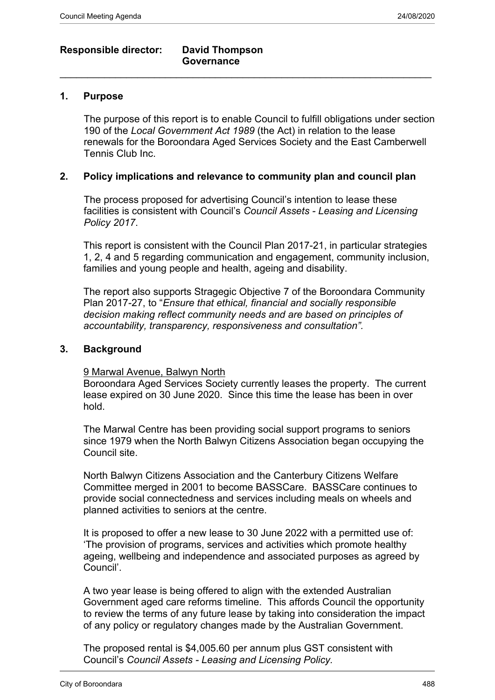### **Responsible director: David Thompson**

# **Governance**

#### **1. Purpose**

The purpose of this report is to enable Council to fulfill obligations under section 190 of the *Local Government Act 1989* (the Act) in relation to the lease renewals for the Boroondara Aged Services Society and the East Camberwell Tennis Club Inc.

 $\_$  , and the set of the set of the set of the set of the set of the set of the set of the set of the set of the set of the set of the set of the set of the set of the set of the set of the set of the set of the set of th

#### **2. Policy implications and relevance to community plan and council plan**

The process proposed for advertising Council's intention to lease these facilities is consistent with Council's *Council Assets - Leasing and Licensing Policy 2017*.

This report is consistent with the Council Plan 2017-21, in particular strategies 1, 2, 4 and 5 regarding communication and engagement, community inclusion, families and young people and health, ageing and disability.

The report also supports Stragegic Objective 7 of the Boroondara Community Plan 2017-27, to "*Ensure that ethical, financial and socially responsible decision making reflect community needs and are based on principles of accountability, transparency, responsiveness and consultation".*

#### **3. Background**

#### 9 Marwal Avenue, Balwyn North

Boroondara Aged Services Society currently leases the property. The current lease expired on 30 June 2020. Since this time the lease has been in over hold.

The Marwal Centre has been providing social support programs to seniors since 1979 when the North Balwyn Citizens Association began occupying the Council site.

North Balwyn Citizens Association and the Canterbury Citizens Welfare Committee merged in 2001 to become BASSCare. BASSCare continues to provide social connectedness and services including meals on wheels and planned activities to seniors at the centre.

It is proposed to offer a new lease to 30 June 2022 with a permitted use of: 'The provision of programs, services and activities which promote healthy ageing, wellbeing and independence and associated purposes as agreed by Council'.

A two year lease is being offered to align with the extended Australian Government aged care reforms timeline. This affords Council the opportunity to review the terms of any future lease by taking into consideration the impact of any policy or regulatory changes made by the Australian Government.

The proposed rental is \$4,005.60 per annum plus GST consistent with Council's *Council Assets - Leasing and Licensing Policy.*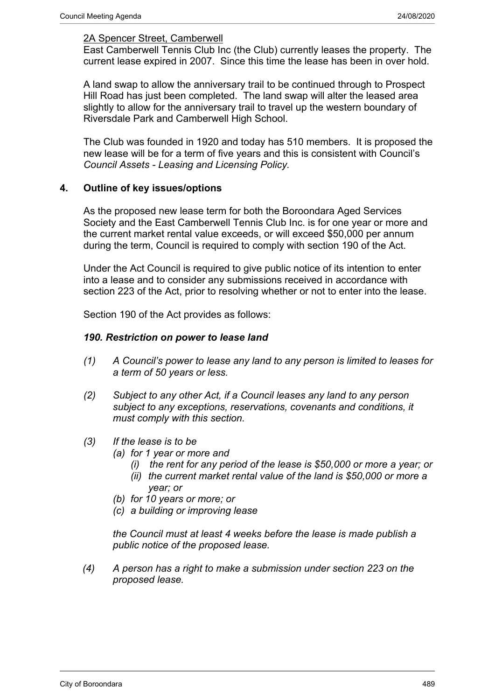#### 2A Spencer Street, Camberwell

East Camberwell Tennis Club Inc (the Club) currently leases the property. The current lease expired in 2007. Since this time the lease has been in over hold.

A land swap to allow the anniversary trail to be continued through to Prospect Hill Road has just been completed. The land swap will alter the leased area slightly to allow for the anniversary trail to travel up the western boundary of Riversdale Park and Camberwell High School.

The Club was founded in 1920 and today has 510 members. It is proposed the new lease will be for a term of five years and this is consistent with Council's *Council Assets - Leasing and Licensing Policy.*

#### **4. Outline of key issues/options**

As the proposed new lease term for both the Boroondara Aged Services Society and the East Camberwell Tennis Club Inc. is for one year or more and the current market rental value exceeds, or will exceed \$50,000 per annum during the term, Council is required to comply with section 190 of the Act.

Under the Act Council is required to give public notice of its intention to enter into a lease and to consider any submissions received in accordance with section 223 of the Act, prior to resolving whether or not to enter into the lease.

Section 190 of the Act provides as follows:

#### *190. Restriction on power to lease land*

- *(1) A Council's power to lease any land to any person is limited to leases for a term of 50 years or less.*
- *(2) Subject to any other Act, if a Council leases any land to any person subject to any exceptions, reservations, covenants and conditions, it must comply with this section.*
- *(3) If the lease is to be*
	- *(a) for 1 year or more and*
		- *(i) the rent for any period of the lease is \$50,000 or more a year; or*
		- *(ii) the current market rental value of the land is \$50,000 or more a year; or*
	- *(b) for 10 years or more; or*
	- *(c) a building or improving lease*

*the Council must at least 4 weeks before the lease is made publish a public notice of the proposed lease.*

*(4) A person has a right to make a submission under section 223 on the proposed lease.*